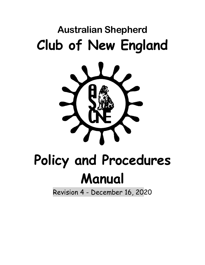## **Australian Shepherd Club of New England**



# **Policy and Procedures Manual**

Revision 4 - December 16, 2020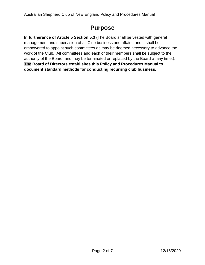## **Purpose**

**In furtherance of Article 5 Section 5.3** (The Board shall be vested with general management and supervision of all Club business and affairs, and it shall be empowered to appoint such committees as may be deemed necessary to advance the work of the Club. All committees and each of their members shall be subject to the authority of the Board, and may be terminated or replaced by the Board at any time.). **The Board of Directors establishes this Policy and Procedures Manual to document standard methods for conducting recurring club business.**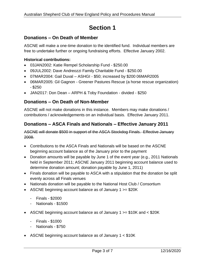## **Section 1**

#### **Donations – On Death of Member**

ASCNE will make a one-time donation to the identified fund. Individual members are free to undertake further or ongoing fundraising efforts. Effective January 2002.

#### **Historical contributions:**

- 03JAN2002: Katie Rempel Scholarship Fund \$250.00
- 09JUL2002: Dave Andreozzi Family Charitable Fund \$250.00
- 07MAR2004: Gail Duval ASHGI \$50; increased by \$200 06MAR2005
- 06MAR2005: Gil Gagnon Greener Pastures Rescue (a horse rescue organization) - \$250
- JAN2017: Don Dean ARPH & Toby Foundation divided \$250

#### **Donations – On Death of Non-Member**

ASCNE will not make donations in this instance. Members may make donations / contributions / acknowledgements on an individual basis. Effective January 2011.

#### **Donations – ASCA Finals and Nationals – Effective January 2011**

ASCNE will donate \$500 in support of the ASCA Stockdog Finals. Effective January 2008.

- Contributions to the ASCA Finals and Nationals will be based on the ASCNE beginning account balance as of the January prior to the payment
- Donation amounts will be payable by June 1 of the event year (e.g., 2011 Nationals held in September 2011; ASCNE January 2011 beginning account balance used to determine donation amount; donation payable by June 1, 2011)
- Finals donation will be payable to ASCA with a stipulation that the donation be split evenly across all Finals venues
- Nationals donation will be payable to the National Host Club / Consortium
- ASCNE beginning account balance as of January 1 >= \$20K
	- Finals \$2000
	- Nationals \$1500
- ASCNE beginning account balance as of January  $1 \ge 10K$  and  $\lt$  \$20K
	- Finals \$1000
	- Nationals \$750
- ASCNE beginning account balance as of January 1 < \$10K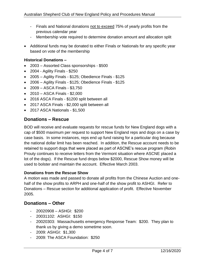- Finals and National donations not to exceed 75% of yearly profits from the previous calendar year
- Membership vote required to determine donation amount and allocation split
- Additional funds may be donated to either Finals or Nationals for any specific year based on vote of the membership

#### **Historical Donations –**

- 2003 Assorted Class sponsorships \$500
- 2004 Agility Finals \$250
- 2005 Agility Finals \$125; Obedience Finals \$125
- 2006 Agility Finals \$125; Obedience Finals \$125
- 2009 ASCA Finals \$3,750
- 2010 ASCA Finals \$2,000
- 2016 ASCA Finals \$1200 split between all
- 2017 ASCA Finals \$2,000 split between all
- 2017 ASCA Nationals \$1,500

#### **Donations – Rescue**

BOD will receive and evaluate requests for rescue funds for New England dogs with a cap of \$500 maximum per request to support New England reps and dogs on a case by case basis. In some instances, reps end up fund raising for a particular dog because the national dollar limit has been reached. In addition, the Rescue account needs to be retained to support dogs that were placed as part of ASCNE's rescue program (Robin Prouty continues to receive letters from the Vermont situation where ASCNE placed a lot of the dogs). If the Rescue fund drops below \$2000, Rescue Show money will be used to bolster and maintain the account. Effective March 2003.

#### **Donations from the Rescue Show**

A motion was made and passed to donate all profits from the Chinese Auction and onehalf of the show profits to ARPH and one-half of the show profit to ASHGI. Refer to Donations – Rescue section for additional application of profit. Effective November 2005.

#### **Donations – Other**

- 20020908 ASHGI: \$200
- 20031102: ASHGI: \$150
- 20020303: Massachusetts emergency Response Team: \$200. They plan to thank us by giving a demo sometime soon.
- 2009: ASHGI: \$1,300
- 2009: The ASCA Foundation: \$250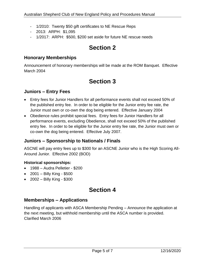- 1/2010: Twenty \$50 gift certificates to NE Rescue Reps
- 2013: ARPH: \$1,095
- 1/2017: ARPH: \$500, \$200 set aside for future NE rescue needs

## **Section 2**

#### **Honorary Memberships**

Announcement of honorary memberships will be made at the ROM Banquet. Effective March 2004

## **Section 3**

#### **Juniors – Entry Fees**

- Entry fees for Junior Handlers for all performance events shall not exceed 50% of the published entry fee. In order to be eligible for the Junior entry fee rate, the Junior must own or co-own the dog being entered. Effective January 2004
- Obedience rules prohibit special fees. Entry fees for Junior Handlers for all performance events, excluding Obedience, shall not exceed 50% of the published entry fee. In order to be eligible for the Junior entry fee rate, the Junior must own or co-own the dog being entered. Effective July 2007.

#### **Juniors – Sponsorship to Nationals / Finals**

ASCNE will pay entry fees up to \$300 for an ASCNE Junior who is the High Scoring All-Around Junior. Effective 2002 (BOD)

#### **Historical sponsorships:**

- 1988 Audra Pelletier \$200
- 2001 Billy King \$500
- 2002 Billy King \$300

### **Section 4**

#### **Memberships – Applications**

Handling of applicants with ASCA Membership Pending – Announce the application at the next meeting, but withhold membership until the ASCA number is provided. Clarified March 2006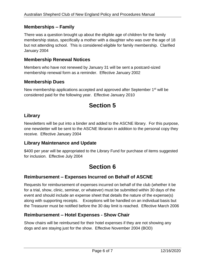#### **Memberships – Family**

There was a question brought up about the eligible age of children for the family membership status, specifically a mother with a daughter who was over the age of 18 but not attending school. This is considered eligible for family membership. Clarified January 2004

#### **Membership Renewal Notices**

Members who have not renewed by January 31 will be sent a postcard-sized membership renewal form as a reminder. Effective January 2002

#### **Membership Dues**

New membership applications accepted and approved after September 1<sup>st</sup> will be considered paid for the following year. Effective January 2010

## **Section 5**

#### **Library**

Newsletters will be put into a binder and added to the ASCNE library. For this purpose, one newsletter will be sent to the ASCNE librarian in addition to the personal copy they receive. Effective January 2004

#### **Library Maintenance and Update**

\$400 per year will be appropriated to the Library Fund for purchase of items suggested for inclusion. Effective July 2004

## **Section 6**

#### **Reimbursement – Expenses Incurred on Behalf of ASCNE**

Requests for reimbursement of expenses incurred on behalf of the club (whether it be for a trial, show, clinic, seminar, or whatever) must be submitted within 30 days of the event and should include an expense sheet that details the nature of the expense(s) along with supporting receipts. Exceptions will be handled on an individual basis but the Treasurer must be notified before the 30 day limit is reached. Effective March 2006

#### **Reimbursement – Hotel Expenses - Show Chair**

Show chairs will be reimbursed for their hotel expenses if they are not showing any dogs and are staying just for the show. Effective November 2004 (BOD)